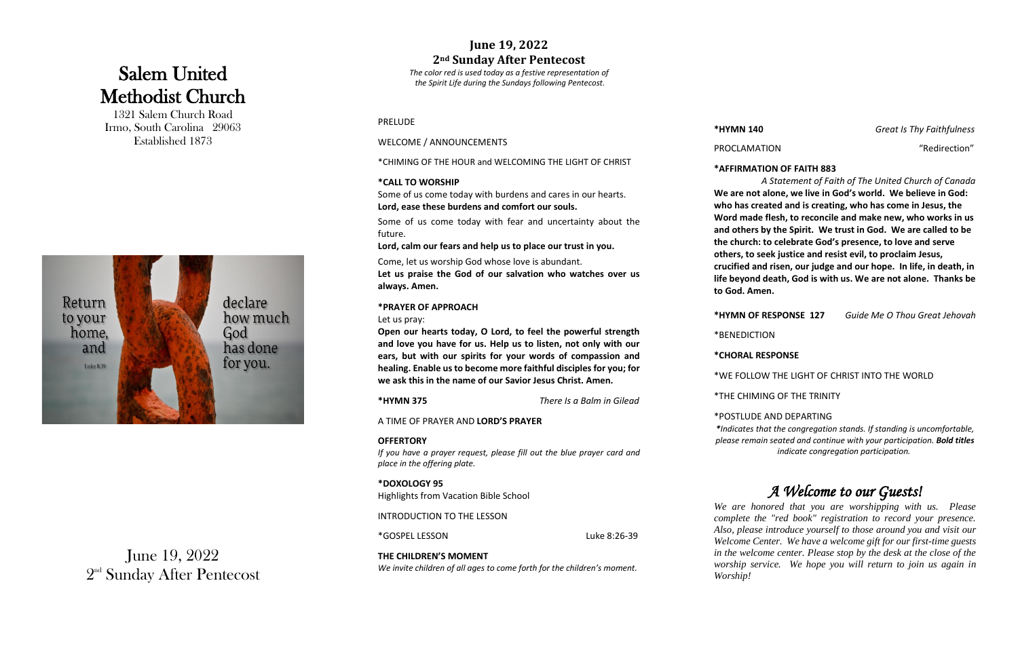# Salem United Methodist Church

1321 Salem Church Road Irmo, South Carolina 29063 Established 1873



June 19, 2022  $2^{\scriptscriptstyle{\mathrm{nd}}}$  Sunday After Pentecost

# **June 1 9, 2022 2nd Sunday After Pentecost**

*The color red is used today as a festive representation of the Spirit Life during the Sundays following Pentecost.*

> *A Statement of Faith of The United Church of Canada* **We are not alone, we live in God's world. We believe in God:**  eated and is creating, who has come in Jesus, the **Word made flesh, to reconcile and make new, who works in us**  by the Spirit. We trust in God. We are called to be **to celebrate God's presence, to love and serve cek justice and resist evil, to proclaim Jesus, rd risen, our judge and our hope. In life, in death, in death, God is with us. We are not alone. Thanks be** ien.

> **RESPONSE 127 127** *Guide Me O Thou Great Jehovah*

#### **RESPONSE**

W THE LIGHT OF CHRIST INTO THE WORLD

#### AND DEPARTING

*We are honored that you are worshipping with us. Please complete the "red book" registration to record your presence. Also, introduce yourself to those around you and visit our* Welcome Center. We have a welcome gift for our first-time guests *in the center. Please stop by the desk at the close of the rvice. We hope you will return to join us again in* 

#### **\*AFFIRMATION OF FAITH 88 3**

| <b>PRELUDE</b>                                                                                                                                                                         |                                                                                                                                | *HYMN 140                                                                                                                                                                                | Grea                             |
|----------------------------------------------------------------------------------------------------------------------------------------------------------------------------------------|--------------------------------------------------------------------------------------------------------------------------------|------------------------------------------------------------------------------------------------------------------------------------------------------------------------------------------|----------------------------------|
| WELCOME / ANNOUNCEMENTS                                                                                                                                                                |                                                                                                                                | PROCLAMATION                                                                                                                                                                             |                                  |
| *CHIMING OF THE HOUR and WELCOMING THE LIGHT OF CHRIST                                                                                                                                 |                                                                                                                                | *AFFIRMATION OF FAITH 883                                                                                                                                                                |                                  |
| *CALL TO WORSHIP                                                                                                                                                                       |                                                                                                                                | A Statement of Faith of The Unite                                                                                                                                                        |                                  |
| Some of us come today with burdens and cares in our hearts.<br>Lord, ease these burdens and comfort our souls.<br>Some of us come today with fear and uncertainty about the<br>future. |                                                                                                                                | We are not alone, we live in God's world. W<br>who has created and is creating, who has co<br>Word made flesh, to reconcile and make net<br>and others by the Spirit. We trust in God. V |                                  |
|                                                                                                                                                                                        |                                                                                                                                |                                                                                                                                                                                          |                                  |
| Come, let us worship God whose love is abundant.<br>Let us praise the God of our salvation who watches over us<br>always. Amen.                                                        |                                                                                                                                | others, to seek justice and resist evil, to pro<br>crucified and risen, our judge and our hope.<br>life beyond death, God is with us. We are no<br>to God. Amen.                         |                                  |
| *PRAYER OF APPROACH                                                                                                                                                                    |                                                                                                                                |                                                                                                                                                                                          | Guide Me O                       |
| Let us pray:<br>Open our hearts today, O Lord, to feel the powerful strength                                                                                                           |                                                                                                                                | *HYMN OF RESPONSE 127                                                                                                                                                                    |                                  |
|                                                                                                                                                                                        | and love you have for us. Help us to listen, not only with our                                                                 | *BENEDICTION                                                                                                                                                                             |                                  |
|                                                                                                                                                                                        | ears, but with our spirits for your words of compassion and                                                                    | *CHORAL RESPONSE                                                                                                                                                                         |                                  |
|                                                                                                                                                                                        | healing. Enable us to become more faithful disciples for you; for<br>we ask this in the name of our Savior Jesus Christ. Amen. | *WE FOLLOW THE LIGHT OF CHRIST INTO TH                                                                                                                                                   |                                  |
| <b>*HYMN 375</b>                                                                                                                                                                       | There Is a Balm in Gilead                                                                                                      | *THE CHIMING OF THE TRINITY                                                                                                                                                              |                                  |
| A TIME OF PRAYER AND LORD'S PRAYER                                                                                                                                                     |                                                                                                                                | *POSTLUDE AND DEPARTING                                                                                                                                                                  |                                  |
|                                                                                                                                                                                        |                                                                                                                                | *Indicates that the congregation stands. If stand                                                                                                                                        |                                  |
| <b>OFFERTORY</b><br>If you have a prayer request, please fill out the blue prayer card and<br>place in the offering plate.                                                             |                                                                                                                                | please remain seated and continue with your pai                                                                                                                                          | indicate congregation participat |
| *DOXOLOGY 95                                                                                                                                                                           |                                                                                                                                |                                                                                                                                                                                          | A Welcome to our Gu              |
| Highlights from Vacation Bible School                                                                                                                                                  |                                                                                                                                |                                                                                                                                                                                          |                                  |
| <b>INTRODUCTION TO THE LESSON</b>                                                                                                                                                      |                                                                                                                                | We are honored that you are worshipping<br>complete the "red book" registration to red<br>Also, please introduce yourself to those arou                                                  |                                  |
| *GOSPEL LESSON                                                                                                                                                                         | Luke 8:26-39                                                                                                                   | Welcome Center. We have a welcome gift for                                                                                                                                               |                                  |
| THE CHILDREN'S MOMENT                                                                                                                                                                  |                                                                                                                                | in the welcome center. Please stop by the des                                                                                                                                            |                                  |
| We invite children of all ages to come forth for the children's moment.                                                                                                                |                                                                                                                                | worship service. We hope you will return<br>Worship!                                                                                                                                     |                                  |

**0 140 <b>***Great Is Thy Faithfulness* 

TION "Redirection"

*\*Indicates that the congregation stands. If standing is uncomfortable, please remain seated and continue with your participation. Bold titles indicate congregation participation.*

# *A Welcome to our Guests!*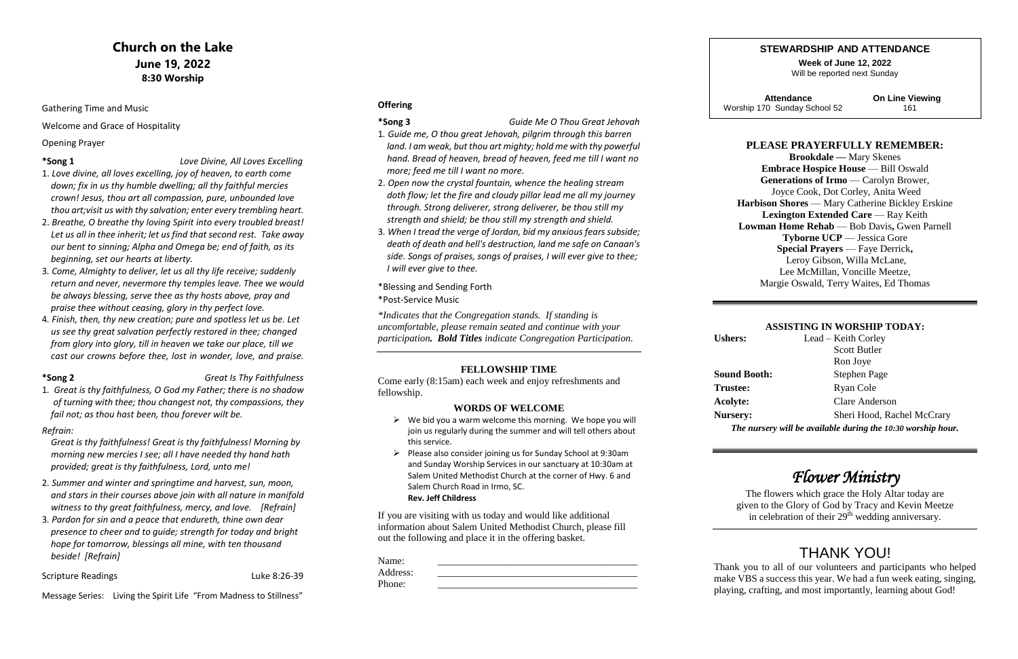# **Church on the Lake June 19, 2022 8:30 Worship**

Gathering Time and Music

Welcome and Grace of Hospitality

#### Opening Prayer

#### **\*Song 1** *Love Divine, All Loves Excelling*

- 1. *Love divine, all loves excelling, joy of heaven, to earth come down; fix in us thy humble dwelling; all thy faithful mercies crown! Jesus, thou art all compassion, pure, unbounded love thou art;visit us with thy salvation; enter every trembling heart.*
- 2. *Breathe, O breathe thy loving Spirit into every troubled breast! Let us all in thee inherit; let us find that second rest. Take away our bent to sinning; Alpha and Omega be; end of faith, as its beginning, set our hearts at liberty.*
- 3*. Come, Almighty to deliver, let us all thy life receive; suddenly return and never, nevermore thy temples leave. Thee we would be always blessing, serve thee as thy hosts above, pray and praise thee without ceasing, glory in thy perfect love.*
- 4*. Finish, then, thy new creation; pure and spotless let us be. Let us see thy great salvation perfectly restored in thee; changed from glory into glory, till in heaven we take our place, till we cast our crowns before thee, lost in wonder, love, and praise.*

### **\*Song 2** *Great Is Thy Faithfulness*

1*. Great is thy faithfulness, O God my Father; there is no shadow of turning with thee; thou changest not, thy compassions, they fail not; as thou hast been, thou forever wilt be.*

#### *Refrain:*

 *Great is thy faithfulness! Great is thy faithfulness! Morning by morning new mercies I see; all I have needed thy hand hath provided; great is thy faithfulness, Lord, unto me!*

- $\triangleright$  We bid you a warm welcome this morning. We hope you will join us regularly during the summer and will tell others about this service.
- ➢ Please also consider joining us for Sunday School at 9:30am and Sunday Worship Services in our sanctuary at 10:30am at Salem United Methodist Church at the corner of Hwy. 6 and Salem Church Road in Irmo, SC. **Rev. Jeff Childress**
- 2. *Summer and winter and springtime and harvest, sun, moon, and stars in their courses above join with all nature in manifold witness to thy great faithfulness, mercy, and love. [Refrain]*
- 3*. Pardon for sin and a peace that endureth, thine own dear presence to cheer and to guide; strength for today and bright hope for tomorrow, blessings all mine, with ten thousand beside! [Refrain]*

#### Scripture Readings **Luke 8:26-39**

 **Attendance On Line Viewing** Worship 170 Sunday School 52 161

Message Series: Living the Spirit Life "From Madness to Stillness"

#### **Offering**

#### **\*Song 3** *Guide Me O Thou Great Jehovah*

The flowers which grace the Holy Altar today are given to the Glory of God by Tracy and Kevin Meetze in celebration of their 29<sup>th</sup> wedding anniversary.

- 1*. Guide me, O thou great Jehovah, pilgrim through this barren land. I am weak, but thou art mighty; hold me with thy powerful hand. Bread of heaven, bread of heaven, feed me till I want no more; feed me till I want no more.*
- 2. *Open now the crystal fountain, whence the healing stream doth flow; let the fire and cloudy pillar lead me all my journey through. Strong deliverer, strong deliverer, be thou still my strength and shield; be thou still my strength and shield.*
- 3*. When I tread the verge of Jordan, bid my anxious fears subside; death of death and hell's destruction, land me safe on Canaan's side. Songs of praises, songs of praises, I will ever give to thee; I will ever give to thee.*
- \*Blessing and Sending Forth
- \*Post-Service Music

*\*Indicates that the Congregation stands. If standing is uncomfortable, please remain seated and continue with your participation. Bold Titles indicate Congregation Participation.*

### **FELLOWSHIP TIME**

Come early (8:15am) each week and enjoy refreshments and fellowship.

#### **WORDS OF WELCOME**

If you are visiting with us today and would like additional information about Salem United Methodist Church, please fill out the following and place it in the offering basket.

| Name:    |  |
|----------|--|
| Address: |  |
| Phone:   |  |

**Ushers:** 

**Trustee:** Acolyte: **Nursery:** 

**Sound B** 

### **STEWARDSHIP AND ATTENDANCE**

**Week of June 12, 2022** Will be reported next Sunday

### **PLEASE PRAYERFULLY REMEMBER:**

**Brookdale —** Mary Skenes **Embrace Hospice House** — Bill Oswald Generations of Irmo — Carolyn Brower, Joyce Cook, Dot Corley, Anita Weed **Harbison Shores** — Mary Catherine Bickley Erskine **Lexington Extended Care** — Ray Keith **Lowman Home Rehab** — Bob Davis**,** Gwen Parnell **Tyborne UCP** — Jessica Gore **Special Prayers** — Faye Derrick**,** Leroy Gibson, Willa McLane, Lee McMillan, Voncille Meetze, Margie Oswald, Terry Waites, Ed Thomas

#### **ASSISTING IN WORSHIP TODAY:**

| <b>Ushers:</b>      | Lead – Keith Corley                                          |
|---------------------|--------------------------------------------------------------|
|                     | <b>Scott Butler</b>                                          |
|                     | Ron Joye                                                     |
| <b>Sound Booth:</b> | Stephen Page                                                 |
| <b>Trustee:</b>     | Ryan Cole                                                    |
| <b>Acolyte:</b>     | <b>Clare Anderson</b>                                        |
| <b>Nursery:</b>     | Sheri Hood, Rachel McCrary                                   |
|                     | The nursery will be available during the 10:30 worship hour. |

# *Flower Ministry*

# THANK YOU!

Thank you to all of our volunteers and participants who helped make VBS a success this year. We had a fun week eating, singing, playing, crafting, and most importantly, learning about God!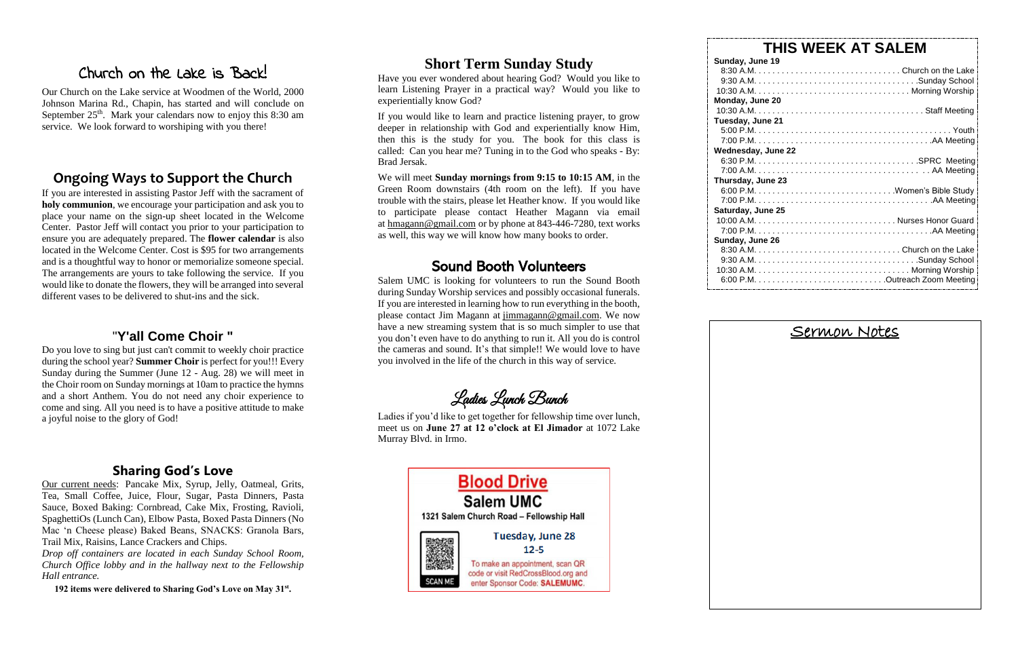# Church on the Lake is Back!

Our Church on the Lake service at Woodmen of the World, 2000 Johnson Marina Rd., Chapin, has started and will conclude on September  $25<sup>th</sup>$ . Mark your calendars now to enjoy this 8:30 am service. We look forward to worshiping with you there!

## **Ongoing Ways to Support the Church**

If you are interested in assisting Pastor Jeff with the sacrament of **holy communion**, we encourage your participation and ask you to place your name on the sign-up sheet located in the Welcome Center. Pastor Jeff will contact you prior to your participation to ensure you are adequately prepared. The **flower calendar** is also located in the Welcome Center. Cost is \$95 for two arrangements and is a thoughtful way to honor or memorialize someone special. The arrangements are yours to take following the service. If you would like to donate the flowers, they will be arranged into several different vases to be delivered to shut-ins and the sick.

## "**Y'all Come Choir "**

Do you love to sing but just can't commit to weekly choir practice during the school year? **Summer Choir** is perfect for you!!! Every Sunday during the Summer (June 12 - Aug. 28) we will meet in the Choir room on Sunday mornings at 10am to practice the hymns and a short Anthem. You do not need any choir experience to come and sing. All you need is to have a positive attitude to make a joyful noise to the glory of God!

## **Sharing God's Love**

Our current needs: Pancake Mix, Syrup, Jelly, Oatmeal, Grits, Tea, Small Coffee, Juice, Flour, Sugar, Pasta Dinners, Pasta Sauce, Boxed Baking: Cornbread, Cake Mix, Frosting, Ravioli, SpaghettiOs (Lunch Can), Elbow Pasta, Boxed Pasta Dinners (No Mac 'n Cheese please) Baked Beans, SNACKS: Granola Bars, Trail Mix, Raisins, Lance Crackers and Chips.

*Drop off containers are located in each Sunday School Room, Church Office lobby and in the hallway next to the Fellowship Hall entrance.* 

**192 items were delivered to Sharing God's Love on May 31st .** 

# **Short Term Sunday Study**

Have you ever wondered about hearing God? Would you like to learn Listening Prayer in a practical way? Would you like to experientially know God?

If you would like to learn and practice listening prayer, to grow deeper in relationship with God and experientially know Him, then this is the study for you. The book for this class is called: Can you hear me? Tuning in to the God who speaks - By: Brad Jersak.

We will meet **Sunday mornings from 9:15 to 10:15 AM**, in the Green Room downstairs (4th room on the left). If you have trouble with the stairs, please let Heather know. If you would like to participate please contact Heather Magann via email at [hmagann@gmail.com](mailto:hmagann@gmail.com) or by phone at 843-446-7280, text works as well, this way we will know how many books to order.

# Sound Booth Volunteers

Salem UMC is looking for volunteers to run the Sound Booth during Sunday Worship services and possibly occasional funerals. If you are interested in learning how to run everything in the booth, please contact Jim Magann at [jimmagann@gmail.com.](mailto:jimmagann@gmail.com) We now have a new streaming system that is so much simpler to use that you don't even have to do anything to run it. All you do is control the cameras and sound. It's that simple!! We would love to have you involved in the life of the church in this way of service.

Ladies Lunch Bunch

Ladies if you'd like to get together for fellowship time over lunch, meet us on **June 27 at 12 o'clock at El Jimador** at 1072 Lake Murray Blvd. in Irmo.



**Sunday,** 9:30 A.M  $10:30 \text{ A}$ . **Monday,**  $10:30 \text{ Å}$ **Tuesday Wednesd**  $7:00 \text{ A}$ . **Thursday**  $7:00 \text{ P}$ . **Saturday** 10:00 A.I Sunday,  $8:30 \text{ A}$ . 9:30 A.M 10:30 A.M  $6:00 \text{ P}$ .

# **THIS WEEK AT SALEM**

| Sunday, June 19    |  |
|--------------------|--|
|                    |  |
|                    |  |
|                    |  |
| Monday, June 20    |  |
|                    |  |
| Tuesday, June 21   |  |
|                    |  |
|                    |  |
| Wednesday, June 22 |  |
|                    |  |
|                    |  |
| Thursday, June 23  |  |
|                    |  |
|                    |  |
| Saturday, June 25  |  |
|                    |  |
|                    |  |
| Sunday, June 26    |  |
|                    |  |
|                    |  |
|                    |  |
|                    |  |

# Sermon Notes